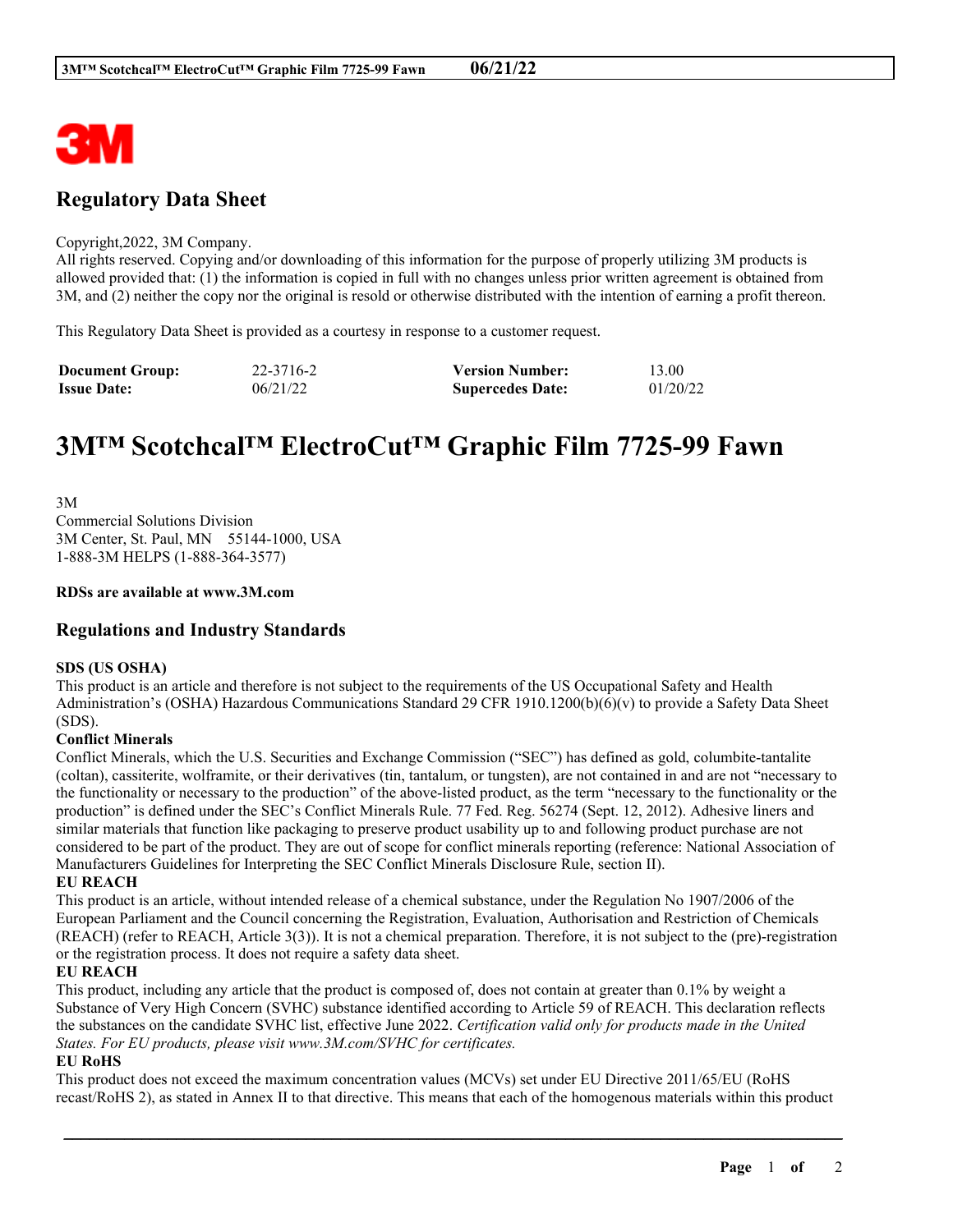

# **Regulatory Data Sheet**

#### Copyright,2022, 3M Company.

All rights reserved. Copying and/or downloading of this information for the purpose of properly utilizing 3M products is allowed provided that: (1) the information is copied in full with no changes unless prior written agreement is obtained from 3M, and (2) neither the copy nor the original is resold or otherwise distributed with the intention of earning a profit thereon.

This Regulatory Data Sheet is provided as a courtesy in response to a customer request.

| <b>Document Group:</b> | 22-3716-2 | <b>Version Number:</b>  | 13.00    |
|------------------------|-----------|-------------------------|----------|
| <b>Issue Date:</b>     | 06/21/22  | <b>Supercedes Date:</b> | 01/20/22 |

# **3M™ Scotchcal™ ElectroCut™ Graphic Film 7725-99 Fawn**

3M Commercial Solutions Division 3M Center, St. Paul, MN 55144-1000, USA 1-888-3M HELPS (1-888-364-3577)

#### **RDSs are available at www.3M.com**

## **Regulations and Industry Standards**

#### **SDS (US OSHA)**

This product is an article and therefore is not subject to the requirements of the US Occupational Safety and Health Administration's (OSHA) Hazardous Communications Standard 29 CFR 1910.1200(b)(6)(v) to provide a Safety Data Sheet (SDS).

### **Conflict Minerals**

Conflict Minerals, which the U.S. Securities and Exchange Commission ("SEC") has defined as gold, columbite-tantalite (coltan), cassiterite, wolframite, or their derivatives (tin, tantalum, or tungsten), are not contained in and are not "necessary to the functionality or necessary to the production" of the above-listed product, as the term "necessary to the functionality or the production" is defined under the SEC's Conflict Minerals Rule. 77 Fed. Reg. 56274 (Sept. 12, 2012). Adhesive liners and similar materials that function like packaging to preserve product usability up to and following product purchase are not considered to be part of the product. They are out of scope for conflict minerals reporting (reference: National Association of Manufacturers Guidelines for Interpreting the SEC Conflict Minerals Disclosure Rule, section II).

#### **EU REACH**

This product is an article, without intended release of a chemical substance, under the Regulation No 1907/2006 of the European Parliament and the Council concerning the Registration, Evaluation, Authorisation and Restriction of Chemicals (REACH) (refer to REACH, Article 3(3)). It is not a chemical preparation. Therefore, it is not subject to the (pre)-registration or the registration process. It does not require a safety data sheet.

#### **EU REACH**

This product, including any article that the product is composed of, does not contain at greater than 0.1% by weight a Substance of Very High Concern (SVHC) substance identified according to Article 59 of REACH. This declaration reflects the substances on the candidate SVHC list, effective June 2022. *Certification valid only for products made in the United States. For EU products, please visit www.3M.com/SVHC for certificates.*

#### **EU RoHS**

This product does not exceed the maximum concentration values (MCVs) set under EU Directive 2011/65/EU (RoHS recast/RoHS 2), as stated in Annex II to that directive. This means that each of the homogenous materials within this product

\_\_\_\_\_\_\_\_\_\_\_\_\_\_\_\_\_\_\_\_\_\_\_\_\_\_\_\_\_\_\_\_\_\_\_\_\_\_\_\_\_\_\_\_\_\_\_\_\_\_\_\_\_\_\_\_\_\_\_\_\_\_\_\_\_\_\_\_\_\_\_\_\_\_\_\_\_\_\_\_\_\_\_\_\_\_\_\_\_\_